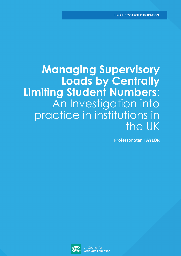# **Managing Supervisory Loads by Centrally Limiting Student Numbers**: An Investigation into practice in institutions in the UK

Professor Stan **TAYLOR**

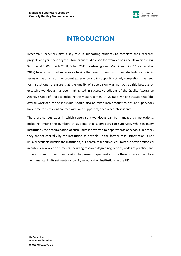

## **INTRODUCTION**

Research supervisors play a key role in supporting students to complete their research projects and gain their degrees. Numerous studies (see for example Bair and Hayworth 2004, Smith et al 2006, Lovitts 2008, Cohen 2011, Wadesango and Machingambi 2011. Carter et al 2017) have shown that supervisors having the time to spend with their students is crucial in terms of the quality of the student experience and in supporting timely completion. The need for institutions to ensure that the quality of supervision was not put at risk because of excessive workloads has been highlighted in successive editions of the Quality Assurance Agency's Code of Practice including the most recent (QAA: 2018: 8) which stressed that 'The overall workload of the individual should also be taken into account to ensure supervisors have time for sufficient contact with, and support of, each research student'.

There are various ways in which supervisory workloads can be managed by institutions, including limiting the numbers of students that supervisors can supervise. While in many institutions the determination of such limits is devolved to departments or schools, in others they are set centrally by the institution as a whole. In the former case, information is not usually available outside the institution, but centrally-set numerical limits are often embodied in publicly-available documents, including research degree regulations, codes of practice, and supervisor and student handbooks. The present paper seeks to use these sources to explore the numerical limits set centrally by higher education institutions in the UK.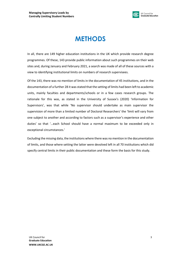

## **METHODS**

In all, there are 149 higher education institutions in the UK which provide research degree programmes. Of these, 143 provide public information about such programmes on their web sites and, during January and February 2021, a search was made of all of these sources with a view to identifying institutional limits on numbers of research supervisees.

Of the 143, there was no mention of limits in the documentation of 45 institutions, and in the documentation of a further 28 it was stated that the setting of limits had been left to academic units, mainly faculties and departments/schools or in a few cases research groups. The rationale for this was, as stated in the University of Sussex's (2020) 'Information for Supervisors', was that while 'No supervisor should undertake as main supervisor the supervision of more than a limited number of Doctoral Researchers' the 'limit will vary from one subject to another and according to factors such as a supervisor's experience and other duties' so that '…each School should have a normal maximum to be exceeded only in exceptional circumstances.'

Excluding the missing data, the institutions where there was no mention in the documentation of limits, and those where setting the latter were devolved left in all 70 institutions which did specify central limits in their public documentation and these form the basis for this study.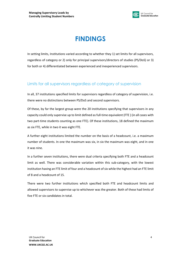

#### UK Council for **Graduate Education**

## **FINDINGS**

In setting limits, Institutions varied according to whether they 1) set limits for all supervisors, regardless of category or 2) only for principal supervisors/directors of studies (PS/DoS) or 3) for both or 4) differentiated between experienced and inexperienced supervisors.

### Limits for all supervisors regardless of category of supervision

In all, 37 institutions specified limits for supervisors regardless of category of supervision, i.e. there were no distinctions between PS/DoS and second supervisors.

Of these, by far the largest group were the 20 institutions specifying that supervisors in any capacity could only supervise up to limit defined as full-time equivalent (FTE ) (in all cases with two part-time students counting as one FTE). Of these institutions, 18 defined the maximum as six FTE, while in two it was eight FTE.

A further eight institutions limited the number on the basis of a headcount, i.e. a maximum number of students. In one the maximum was six, in six the maximum was eight, and in one it was nine.

In a further seven institutions, there were dual criteria specifying both FTE and a headcount limit as well. There was considerable variation within this sub-category, with the lowest institution having an FTE limit of four and a headcount of six while the highest had an FTE limit of 8 and a headcount of 15.

There were two further institutions which specified both FTE and headcount limits and allowed supervisors to supervise up to whichever was the greater. Both of these had limits of five FTE or six candidates in total.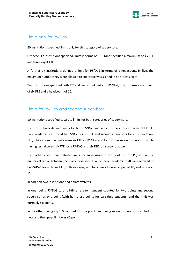

### Limits only for PS/DoS

20 institutions specified limits only for this category of supervisors.

Of these, 12 institutions specified limits in terms of FTE. Nine specified a maximum of six FTE and three eight FTE.

A further six institutions defined a limit for PS/DoS in terms of a headcount. In five, the maximum number they were allowed to supervise was six and in one it was eight.

Two institutions specified both FTE and headcount limits for PS/DoS, in both cases a maximum of six FTE and a headcount of 10.

### Limits for PS/DoS and second supervisors

10 institutions specified separate limits for both categories of supervisors.

Four institutions defined limits for both PS/DoS and second supervisors in terms of FTE. In two, academic staff could be PS/DoS for six FTE and second supervisors for a further three FTE, while in one the limits were six FTE as PS/DoS and four FTE as second supervisor, while the highest allowed six FTE for a PS/DoS and six FTE for a second as well.

Four other institutions defined limits for supervisors in terms of FTE for PS/DoS with a numerical cap on total numbers of supervisees. In all of these, academic staff were allowed to be PS/DoS for up to six FTE; in three cases, numbers overall were capped at 10, and in one at 12.

In addition two institutions had points systems.

In one, being PS/DoS to a full-time research student counted for two points and second supervisor as one point (with half these points for part-time students) and the limit was normally six points.

In the other, being PS/DoS counted for four points and being second supervisor counted for two, and the upper limit was 40 points.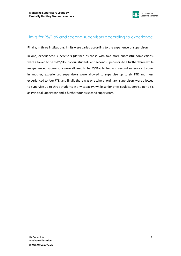

### Limits for PS/DoS and second supervisors according to experience

Finally, in three institutions, limits were varied according to the experience of supervisors.

In one, experienced supervisors (defined as those with two more successful completions) were allowed to be to PS/DoS to four students and second supervisors to a further three while inexperienced supervisors were allowed to be PS/DoS to two and second supervisor to one; in another, experienced supervisors were allowed to supervise up to six FTE and less experienced to four FTE; and finally there was one where 'ordinary' supervisors were allowed to supervise up to three students in any capacity, while senior ones could supervise up to six as Principal Supervisor and a further four as second supervisors.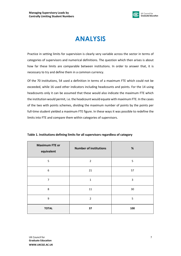

## **ANALYSIS**

Practice in setting limits for supervision is clearly very variable across the sector in terms of categories of supervisors and numerical definitions. The question which then arises is about how far these limits are comparable between institutions. In order to answer that, it is necessary to try and define them in a common currency.

Of the 70 institutions, 54 used a definition in terms of a maximum FTE which could not be exceeded, while 16 used other indicators including headcounts and points. For the 14 using headcounts only it can be assumed that these would also indicate the maximum FTE which the institution would permit, i.e. the headcount would equate with maximum FTE. In the cases of the two with points schemes, dividing the maximum number of points by the points per full-time student yielded a maximum FTE figure. In these ways it was possible to redefine the limits into FTE and compare them within categories of supervisors.

| <b>Maximum FTE or</b><br>equivalent | <b>Number of institutions</b> | $\%$ |
|-------------------------------------|-------------------------------|------|
| 5                                   | $\overline{2}$                | 5    |
| 6                                   | 21                            | 57   |
| $\overline{7}$                      | $\mathbf 1$                   | 3    |
| 8                                   | 11                            | 30   |
| 9                                   | $\overline{2}$                | 5    |
| <b>TOTAL</b>                        | 37                            | 100  |

**Table 1. Institutions defining limits for all supervisors regardless of category**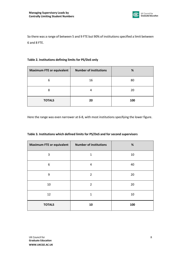

So there was a range of between 5 and 9 FTE but 90% of institutions specified a limit between 6 and 8 FTE.

#### **Table 2. Institutions defining limits for PS/DoS only**

| <b>Maximum FTE or equivalent</b> | <b>Number of institutions</b> | %   |  |
|----------------------------------|-------------------------------|-----|--|
| 6                                | 16                            | 80  |  |
| 8                                | 4                             | 20  |  |
| <b>TOTALS</b>                    | 20                            | 100 |  |

Here the range was even narrower at 6-8, with most institutions specifying the lower figure.

|  |  | Table 3. Institutions which defined limits for PS/DoS and for second supervisors |
|--|--|----------------------------------------------------------------------------------|
|  |  |                                                                                  |

| <b>Maximum FTE or equivalent</b> | <b>Number of institutions</b> | $\%$ |
|----------------------------------|-------------------------------|------|
| 3                                | 1                             | 10   |
| 6                                | 4                             | 40   |
| 9                                | $\overline{2}$                | 20   |
| 10                               | $\overline{2}$                | 20   |
| 12                               | $\mathbf{1}$                  | 10   |
| <b>TOTALS</b>                    | 10                            | 100  |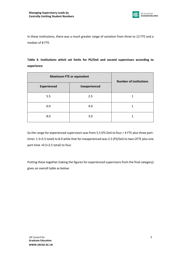

In these institutions, there was a much greater range of variation from three to 12 FTE and a median of 8 FTE.

### **Table 4. Institutions which set limits for PS/DoS and second supervisors according to experience**

| <b>Maximum FTE or equivalent</b> |               | <b>Number of institutions</b> |  |
|----------------------------------|---------------|-------------------------------|--|
| <b>Experienced</b>               | Inexperienced |                               |  |
| 5.5                              | 2.5           | 1                             |  |
| 6.0                              | 4.0           |                               |  |
| 8.0                              | 3.0           |                               |  |

So the range for experienced supervisors was from 5.5 (PS.DoS to four = 4 FTE plus three parttime= 1.5=5.5 total) to 8.0 while that for inexperienced was 2.5 (PS/DoS to two=2FTE plus one part-time =0.5=2.5 total) to four.

Putting these together (taking the figures for experienced supervisors from the final category) gives an overall table as below: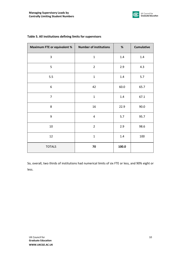

| <b>Maximum FTE or equivalent %</b> | <b>Number of institutions</b> | $\%$    | <b>Cumulative</b> |
|------------------------------------|-------------------------------|---------|-------------------|
| 3                                  | $\mathbf{1}$                  | 1.4     | 1.4               |
| 5                                  | $\overline{2}$                | 2.9     | 4.3               |
| 5.5                                | $\mathbf 1$                   | $1.4\,$ | $5.7$             |
| 6                                  | 42                            | 60.0    | 65.7              |
| $\overline{7}$                     | $\mathbf{1}$                  | 1.4     | 67.1              |
| 8                                  | 16                            | 22.9    | 90.0              |
| 9                                  | $\overline{4}$                | 5.7     | 95.7              |
| $10\,$                             | $\overline{2}$                | 2.9     | 98.6              |
| 12                                 | $\mathbf 1$                   | $1.4\,$ | 100               |
| <b>TOTALS</b>                      | 70                            | 100.0   |                   |

#### **Table 5. All institutions defining limits for supervisors**

So, overall, two thirds of institutions had numerical limits of six FTE or less, and 90% eight or less.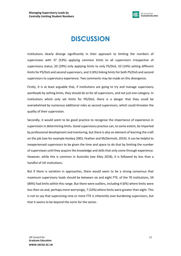

## **DISCUSSION**

Institutions clearly diverge significantly in their approach to limiting the numbers of supervisees with 37 (53%) applying common limits to all supervisors irrespective of supervisory status, 20 (29%) only applying limits to only PS/DoS, 10 (14%) setting different limits for PS/DoS and second supervisors, and 3 (4%) linking limits for both PS/DoS and second supervisors to supervisory experience. Two comments may be made on this divergence.

Firstly, it is at least arguable that, if institutions are going to try and manage supervisory workloads by setting limits, they should do so for all supervisors, and not just one category. In institutions which only set limits for PD/DoS, there is a danger that they could be overwhelmed by numerous additional roles as second supervisors, which could threaten the quality of their supervision.

Secondly, it would seem to be good practice to recognise the importance of experience in supervision in determining limits. Good supervisory practice can, to some extent, be imparted by professional development and mentoring, but there is also an element of learning the craft on the job (see for example Hockey 2003, Feather and McDermott, 2014). It can be helpful to inexperienced supervisors to be given the time and space to do that by limiting the number of supervisees until they acquire the knowledge and skills that only come through experience. However, while this is common in Australia (see Kiley 2018), it is followed by less than a handful of UK institutions.

But if there is variation in approaches, there would seem to be a strong consensus that maximum supervisory loads should be between six and eight FTE; of the 70 institutions, 59 (84%) had limits within this range. But there were outliers, including 4 (6%) where limits were less then six and, perhaps more worryingly, 7 (10%) where limits were greater than eight. This is not to say that supervising nine or more FTE is inherently over-burdening supervisors, but that it seems to be beyond the norm for the sector.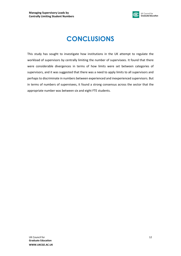

## **CONCLUSIONS**

This study has sought to investigate how institutions in the UK attempt to regulate the workload of supervisors by centrally limiting the number of supervisees. It found that there were considerable divergences in terms of how limits were set between categories of supervisors, and it was suggested that there was a need to apply limits to all supervisors and perhaps to discriminate in numbers between experienced and inexperienced supervisors. But in terms of numbers of supervisees, it found a strong consensus across the sector that the appropriate number was between six and eight FTE students.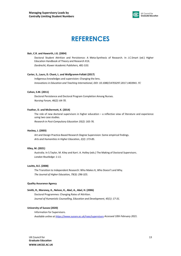

#### UK Council for **Graduate Education**

### **REFERENCES**

#### **Bair, C.R. and Haworth, J.G. (2004)**

Doctoral Student Attrition and Persistence: A Meta-Synthesis of Research. In J.C.Smart (ed.) Higher Education Handbook of Theory and Research X1X. *Dordrecht, Kluwer Academic Publishers, 481-533.* 

#### **Carter, S., Laurs, D. Chant, L. and Wolfgramm-Follaki (2017)**

Indigenous knowledges and supervision: Changing the lens. *Innovations in Education and Teaching International, DOI: 10.1080/14703297.2017.1403941. FC*

#### **Cohen, S.M. (2011)**

Doctoral Persistence and Doctoral Program Completion Among Nurses. *Nursing Forum, 46(2): 64-70.*

#### **Feather, D. and McDermott, K. (2014)**

The role of new doctoral supervisors in higher education – a reflective view of literature and experience using two case studies. *Research in Post-Compulsory Education 19)2): 165-76.*

#### **Hockey, J. (2003)**

Art and Design Practice-Based Research Degree Supervision: Some empirical findings. *Arts and Humanities in Higher Education, 2(2): 173-85.* 

#### **Kiley, M. (2021)**

Australia. In S.Taylor, M. Kiley and Karri. A. Holley (eds.) The Making of Doctoral Supervisors. *London Routledge: 1-11.*

#### **Lovitts, B.E. (2008)**

The Transition to Independent Research: Who Makes It, Who Doesn't and Why. *The Journal of Higher Education, 79(3): 296-325.* 

#### **Quality Assurance Agency**

#### **Smith, R., Maroney, K., Nelson, K., Abel, A., Abel, H. (2006)**

Doctoral Programmes: Changing Rates of Attrition. *Journal of Humanistic Counselling, Education and Development, 45(1): 17-31.* 

#### **University of Sussex (2020)**

Information for Supervisors. *Available online a[t https://www.sussex.ac.uk/rsao/supervisors](https://www.sussex.ac.uk/rsao/supervisors) Accessed 10th February 2021.*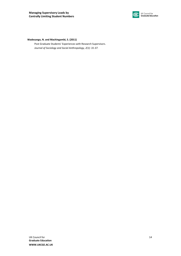

#### **Wadesango, N. and Machingambi, S. (2011)**

Post Graduate Students' Experiences with Research Supervisors. *Journal of Sociology and Social Anthropology, 2(1): 31-37.*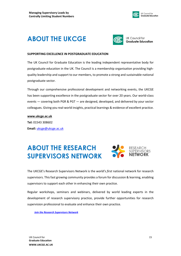

### **ABOUT THE UKCGE**



UK Council for **Graduate Education** 

#### **SUPPORTING EXCELLENCE IN POSTGRADUATE EDUCATION**

The UK Council for Graduate Education is the leading independent representative body for postgraduate education in the UK. The Council is a membership organisation providing highquality leadership and support to our members, to promote a strong and sustainable national postgraduate sector.

Through our comprehensive professional development and networking events, the UKCGE has been supporting excellence in the postgraduate sector for over 20 years. Our world-class events — covering both PGR & PGT — are designed, developed, and delivered by your sector colleagues. Giving you real-world insights, practical learnings & evidence of excellent practice.

#### **[www.ukcge.ac.uk](http://www.ukcge.ac.uk/)**

**Tel:** 01543 308602 **Email:** [ukcge@ukcge.ac.uk](mailto:ukcge@ukcge.ac.uk)

### **ABOUT THE RESEARCH SUPERVISORS SUPERVISORS NETWORK**

The UKCGE's Research Supervisors Network is the *world's first* national network for research supervisors. This fast growing community provides a forum for discussion & learning, enabling supervisors to support each other in enhancing their own practice.

Regular workshops, seminars and webinars, delivered by world leading experts in the development of research supervisory practice, provide further opportunities for research supervision professional to evaluate and enhance their own practice.

*[Join the Research Supervisors Network](http://eepurl.com/cD6Qs9)*